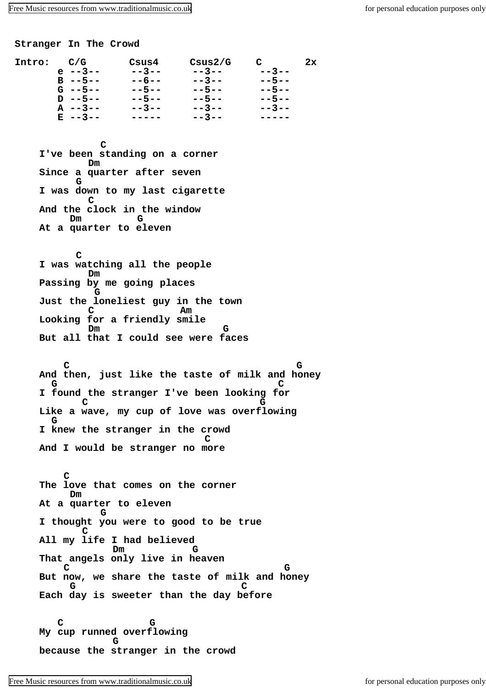[Free Music resources from www.traditionalmusic.co.uk](http://www.traditionalmusic.co.uk) for personal education purposes only

**Stranger In The Crowd**

| Intro: | C/G          | Csus4       | Csus2/G     | $\mathbf{C}$ | 2x |
|--------|--------------|-------------|-------------|--------------|----|
|        | $e$ --3--    | $- - 3 - -$ | $- - 3 - -$ | $- - 3 - -$  |    |
|        | $B - -5 - -$ | $- - 6 - -$ | $- - 3 - -$ | $- - 5 - -$  |    |
|        | $G - -5 - -$ | $- - 5 - -$ | $- - 5 - -$ | $- - 5 - -$  |    |
|        | $D - -5 - -$ | $- - 5 - -$ | $- - 5 - -$ | $- - 5 - -$  |    |
|        | $A -3 - -$   | $- - 3 - -$ | $- - 3 - -$ | $- - 3 - -$  |    |
|        | $E = -3 - -$ |             | $- - 3 - -$ |              |    |
|        |              |             |             |              |    |

**C I've been standing on a corner Dm Since a quarter after seven G I was down to my last cigarette C And the clock in the window Dm G At a quarter to eleven**

 **C I was watching all the people Dm Passing by me going places G Just the loneliest guy in the town C Am Looking for a friendly smile Dm G But all that I could see were faces**

 **C G And then, just like the taste of milk and honey G C I found the stranger I've been looking for C G Like a wave, my cup of love was overflowing G I knew the stranger in the crowd C And I would be stranger no more**

 **C The love that comes on the corner Dm At a quarter to eleven G I thought you were to good to be true C All my life I had believed Dm G That angels only live in heaven C G But now, we share the taste of milk and honey G C Each day is sweeter than the day before**

 **C G My cup runned overflowing G because the stranger in the crowd**